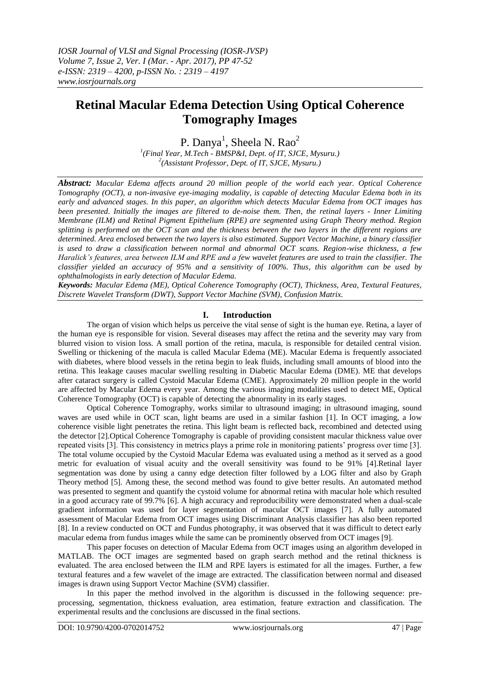# **Retinal Macular Edema Detection Using Optical Coherence Tomography Images**

P. Danya<sup>1</sup>, Sheela N. Rao<sup>2</sup>

*1 (Final Year, M.Tech - BMSP&I, Dept. of IT, SJCE, Mysuru.) 2 (Assistant Professor, Dept. of IT, SJCE, Mysuru.)*

*Abstract: Macular Edema affects around 20 million people of the world each year. Optical Coherence Tomography (OCT), a non-invasive eye-imaging modality, is capable of detecting Macular Edema both in its early and advanced stages. In this paper, an algorithm which detects Macular Edema from OCT images has been presented. Initially the images are filtered to de-noise them. Then, the retinal layers - Inner Limiting Membrane (ILM) and Retinal Pigment Epithelium (RPE) are segmented using Graph Theory method. Region splitting is performed on the OCT scan and the thickness between the two layers in the different regions are determined. Area enclosed between the two layers is also estimated. Support Vector Machine, a binary classifier is used to draw a classification between normal and abnormal OCT scans. Region-wise thickness, a few Haralick's features, area between ILM and RPE and a few wavelet features are used to train the classifier. The classifier yielded an accuracy of 95% and a sensitivity of 100%. Thus, this algorithm can be used by ophthalmologists in early detection of Macular Edema.* 

*Keywords: Macular Edema (ME), Optical Coherence Tomography (OCT), Thickness, Area, Textural Features, Discrete Wavelet Transform (DWT), Support Vector Machine (SVM), Confusion Matrix.* 

## **I. Introduction**

The organ of vision which helps us perceive the vital sense of sight is the human eye. Retina, a layer of the human eye is responsible for vision. Several diseases may affect the retina and the severity may vary from blurred vision to vision loss. A small portion of the retina, macula, is responsible for detailed central vision. Swelling or thickening of the macula is called Macular Edema (ME). Macular Edema is frequently associated with diabetes, where blood vessels in the retina begin to leak fluids, including small amounts of blood into the retina. This leakage causes macular swelling resulting in Diabetic Macular Edema (DME). ME that develops after cataract surgery is called Cystoid Macular Edema (CME). Approximately 20 million people in the world are affected by Macular Edema every year. Among the various imaging modalities used to detect ME, Optical Coherence Tomography (OCT) is capable of detecting the abnormality in its early stages.

Optical Coherence Tomography, works similar to ultrasound imaging; in ultrasound imaging, sound waves are used while in OCT scan, light beams are used in a similar fashion [1]. In OCT imaging, a low coherence visible light penetrates the retina. This light beam is reflected back, recombined and detected using the detector [2].Optical Coherence Tomography is capable of providing consistent macular thickness value over repeated visits [3]. This consistency in metrics plays a prime role in monitoring patients' progress over time [3]. The total volume occupied by the Cystoid Macular Edema was evaluated using a method as it served as a good metric for evaluation of visual acuity and the overall sensitivity was found to be 91% [4].Retinal layer segmentation was done by using a canny edge detection filter followed by a LOG filter and also by Graph Theory method [5]. Among these, the second method was found to give better results. An automated method was presented to segment and quantify the cystoid volume for abnormal retina with macular hole which resulted in a good accuracy rate of 99.7% [6]. A high accuracy and reproducibility were demonstrated when a dual-scale gradient information was used for layer segmentation of macular OCT images [7]. A fully automated assessment of Macular Edema from OCT images using Discriminant Analysis classifier has also been reported [8]. In a review conducted on OCT and Fundus photography, it was observed that it was difficult to detect early macular edema from fundus images while the same can be prominently observed from OCT images [9].

This paper focuses on detection of Macular Edema from OCT images using an algorithm developed in MATLAB. The OCT images are segmented based on graph search method and the retinal thickness is evaluated. The area enclosed between the ILM and RPE layers is estimated for all the images. Further, a few textural features and a few wavelet of the image are extracted. The classification between normal and diseased images is drawn using Support Vector Machine (SVM) classifier.

In this paper the method involved in the algorithm is discussed in the following sequence: preprocessing, segmentation, thickness evaluation, area estimation, feature extraction and classification. The experimental results and the conclusions are discussed in the final sections.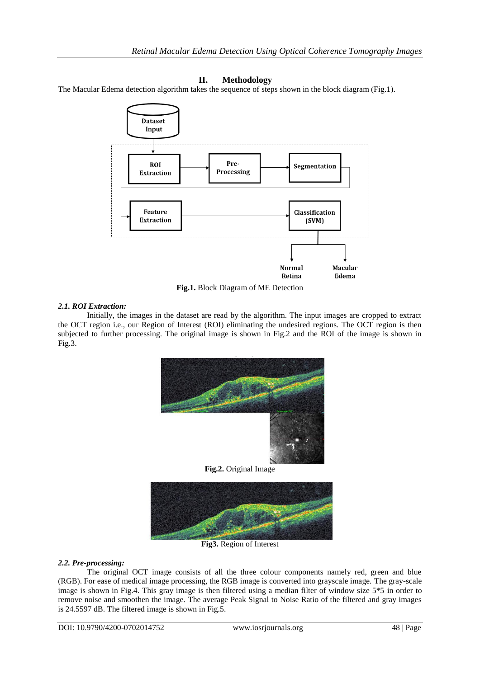## **II. Methodology**

The Macular Edema detection algorithm takes the sequence of steps shown in the block diagram (Fig.1).



**Fig.1.** Block Diagram of ME Detection

## *2.1. ROI Extraction:*

Initially, the images in the dataset are read by the algorithm. The input images are cropped to extract the OCT region i.e., our Region of Interest (ROI) eliminating the undesired regions. The OCT region is then subjected to further processing. The original image is shown in Fig.2 and the ROI of the image is shown in Fig.3.





**Fig3.** Region of Interest

## *2.2. Pre-processing:*

The original OCT image consists of all the three colour components namely red, green and blue (RGB). For ease of medical image processing, the RGB image is converted into grayscale image. The gray-scale image is shown in Fig.4. This gray image is then filtered using a median filter of window size 5\*5 in order to remove noise and smoothen the image. The average Peak Signal to Noise Ratio of the filtered and gray images is 24.5597 dB. The filtered image is shown in Fig.5.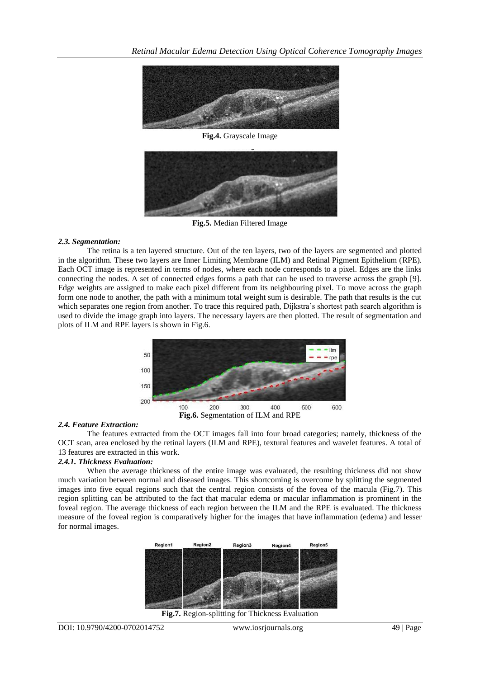

**Fig.4.** Grayscale Image



**Fig.5.** Median Filtered Image

## *2.3. Segmentation:*

The retina is a ten layered structure. Out of the ten layers, two of the layers are segmented and plotted in the algorithm. These two layers are Inner Limiting Membrane (ILM) and Retinal Pigment Epithelium (RPE). Each OCT image is represented in terms of nodes, where each node corresponds to a pixel. Edges are the links connecting the nodes. A set of connected edges forms a path that can be used to traverse across the graph [9]. Edge weights are assigned to make each pixel different from its neighbouring pixel. To move across the graph form one node to another, the path with a minimum total weight sum is desirable. The path that results is the cut which separates one region from another. To trace this required path, Dijkstra's shortest path search algorithm is used to divide the image graph into layers. The necessary layers are then plotted. The result of segmentation and plots of ILM and RPE layers is shown in Fig.6.



## *2.4. Feature Extraction:*

The features extracted from the OCT images fall into four broad categories; namely, thickness of the OCT scan, area enclosed by the retinal layers (ILM and RPE), textural features and wavelet features. A total of 13 features are extracted in this work.

## *2.4.1. Thickness Evaluation:*

When the average thickness of the entire image was evaluated, the resulting thickness did not show much variation between normal and diseased images. This shortcoming is overcome by splitting the segmented images into five equal regions such that the central region consists of the fovea of the macula (Fig.7). This region splitting can be attributed to the fact that macular edema or macular inflammation is prominent in the foveal region. The average thickness of each region between the ILM and the RPE is evaluated. The thickness measure of the foveal region is comparatively higher for the images that have inflammation (edema) and lesser for normal images.



**Fig.7.** Region-splitting for Thickness Evaluation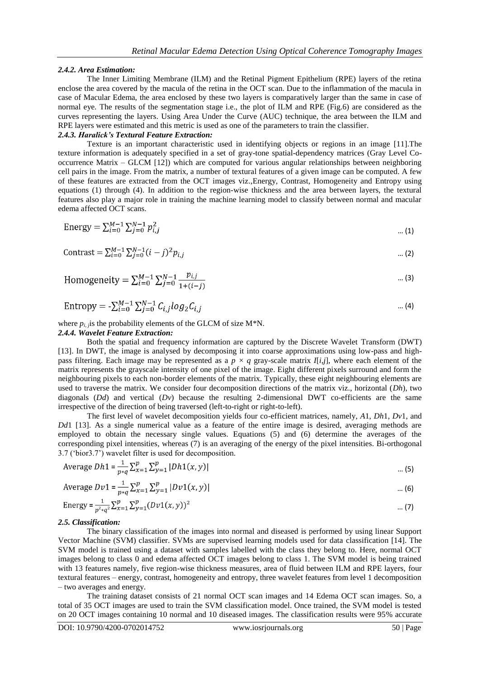### *2.4.2. Area Estimation:*

The Inner Limiting Membrane (ILM) and the Retinal Pigment Epithelium (RPE) layers of the retina enclose the area covered by the macula of the retina in the OCT scan. Due to the inflammation of the macula in case of Macular Edema, the area enclosed by these two layers is comparatively larger than the same in case of normal eye. The results of the segmentation stage i.e., the plot of ILM and RPE (Fig.6) are considered as the curves representing the layers. Using Area Under the Curve (AUC) technique, the area between the ILM and RPE layers were estimated and this metric is used as one of the parameters to train the classifier.

### *2.4.3. Haralick's Textural Feature Extraction:*

Texture is an important characteristic used in identifying objects or regions in an image [11].The texture information is adequately specified in a set of gray-tone spatial-dependency matrices (Gray Level Cooccurrence Matrix – GLCM [12]) which are computed for various angular relationships between neighboring cell pairs in the image. From the matrix, a number of textural features of a given image can be computed. A few of these features are extracted from the OCT images viz.,Energy, Contrast, Homogeneity and Entropy using equations (1) through (4). In addition to the region-wise thickness and the area between layers, the textural features also play a major role in training the machine learning model to classify between normal and macular edema affected OCT scans.

Energy = 
$$
\sum_{i=0}^{M-1} \sum_{j=0}^{N-1} p_{i,j}^2
$$
 ...(1)

Contrast = 
$$
\sum_{i=0}^{M-1} \sum_{j=0}^{N-1} (i-j)^2 p_{i,j}
$$
 ...(2)

Homogeneity = 
$$
\sum_{i=0}^{M-1} \sum_{j=0}^{N-1} \frac{p_{i,j}}{1+(i-j)}
$$
 ... (3)

Entropy = 
$$
-\sum_{i=0}^{M-1} \sum_{j=0}^{N-1} C_{i,j} log_2 C_{i,j}
$$
 ... (4)

where  $p_{i,j}$  is the probability elements of the GLCM of size M\*N.

#### *2.4.4. Wavelet Feature Extraction:*

Both the spatial and frequency information are captured by the Discrete Wavelet Transform (DWT) [13]. In DWT, the image is analysed by decomposing it into coarse approximations using low-pass and highpass filtering. Each image may be represented as a  $p \times q$  gray-scale matrix  $I[i,j]$ , where each element of the matrix represents the grayscale intensity of one pixel of the image. Eight different pixels surround and form the neighbouring pixels to each non-border elements of the matrix. Typically, these eight neighbouring elements are used to traverse the matrix. We consider four decomposition directions of the matrix viz., horizontal (*Dh*), two diagonals (*Dd*) and vertical (*Dv*) because the resulting 2-dimensional DWT co-efficients are the same irrespective of the direction of being traversed (left-to-right or right-to-left).

The first level of wavelet decomposition yields four co-efficient matrices, namely, *A*1, *Dh*1, *Dv*1, and *Dd*1 [13]. As a single numerical value as a feature of the entire image is desired, averaging methods are employed to obtain the necessary single values. Equations (5) and (6) determine the averages of the corresponding pixel intensities, whereas (7) is an averaging of the energy of the pixel intensities. Bi-orthogonal 3.7 ('bior3.7') wavelet filter is used for decomposition.

Average 
$$
Dh1 = \frac{1}{p \cdot q} \sum_{x=1}^{p} \sum_{y=1}^{p} |Dh1(x, y)|
$$
 ... (5)

Average 
$$
Dv1 = \frac{1}{n a} \sum_{x=1}^{p} \sum_{y=1}^{p} |Dv1(x, y)|
$$
 ... (6)

Energy = 
$$
\frac{1}{p^2 \cdot q^2} \sum_{x=1}^p \sum_{y=1}^p (Dv1(x, y))^2
$$
 ... (7)

#### *2.5. Classification:*

The binary classification of the images into normal and diseased is performed by using linear Support Vector Machine (SVM) classifier. SVMs are supervised learning models used for data classification [14]. The SVM model is trained using a dataset with samples labelled with the class they belong to. Here, normal OCT images belong to class 0 and edema affected OCT images belong to class 1. The SVM model is being trained with 13 features namely, five region-wise thickness measures, area of fluid between ILM and RPE layers, four textural features – energy, contrast, homogeneity and entropy, three wavelet features from level 1 decomposition – two averages and energy.

The training dataset consists of 21 normal OCT scan images and 14 Edema OCT scan images. So, a total of 35 OCT images are used to train the SVM classification model. Once trained, the SVM model is tested on 20 OCT images containing 10 normal and 10 diseased images. The classification results were 95% accurate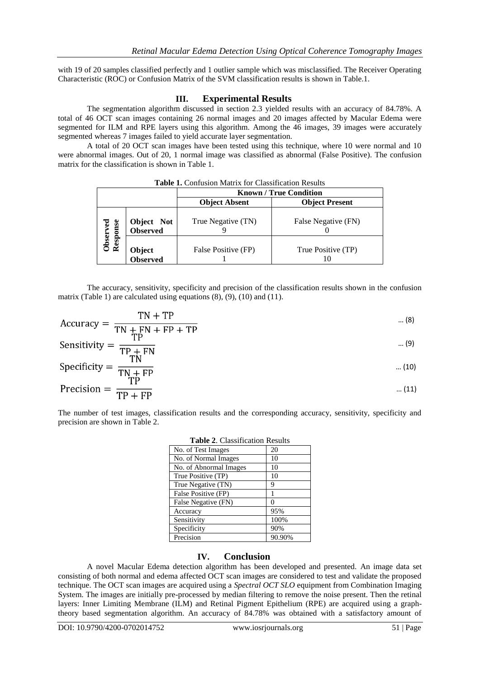with 19 of 20 samples classified perfectly and 1 outlier sample which was misclassified. The Receiver Operating Characteristic (ROC) or Confusion Matrix of the SVM classification results is shown in Table.1.

## **III. Experimental Results**

The segmentation algorithm discussed in section 2.3 yielded results with an accuracy of 84.78%. A total of 46 OCT scan images containing 26 normal images and 20 images affected by Macular Edema were segmented for ILM and RPE layers using this algorithm. Among the 46 images, 39 images were accurately segmented whereas 7 images failed to yield accurate layer segmentation.

A total of 20 OCT scan images have been tested using this technique, where 10 were normal and 10 were abnormal images. Out of 20, 1 normal image was classified as abnormal (False Positive). The confusion matrix for the classification is shown in Table 1.

|                      |                            | <b>Known / True Condition</b> |                          |  |
|----------------------|----------------------------|-------------------------------|--------------------------|--|
|                      |                            | <b>Object Absent</b>          | <b>Object Present</b>    |  |
| Observed<br>Response | Object Not<br>Observed     | True Negative (TN)            | False Negative (FN)      |  |
|                      | <b>Object<br/>Observed</b> | False Positive (FP)           | True Positive (TP)<br>Н. |  |

| <b>Table 1.</b> Confusion Matrix for Classification Results |  |
|-------------------------------------------------------------|--|
|-------------------------------------------------------------|--|

The accuracy, sensitivity, specificity and precision of the classification results shown in the confusion matrix (Table 1) are calculated using equations  $(8)$ ,  $(9)$ ,  $(10)$  and  $(11)$ .

$$
Accuracy = \frac{TN + TP}{TN + FN + FP + TP}
$$
 ... (8)

$$
Sensitivity = \frac{TP}{TP + FN} \qquad (9)
$$

$$
Specificity = \frac{TN}{TN + FP}
$$
 ... (10)

$$
Precision = \frac{11}{TP + FP}
$$
 ... (11)

The number of test images, classification results and the corresponding accuracy, sensitivity, specificity and precision are shown in Table 2.

| Table 2. Classification Results |        |  |  |
|---------------------------------|--------|--|--|
| No. of Test Images              | 20     |  |  |
| No. of Normal Images            | 10     |  |  |
| No. of Abnormal Images          | 10     |  |  |
| True Positive (TP)              | 10     |  |  |
| True Negative (TN)              | 9      |  |  |
| False Positive (FP)             |        |  |  |
| False Negative (FN)             |        |  |  |
| Accuracy                        | 95%    |  |  |
| Sensitivity                     | 100%   |  |  |
| Specificity                     | 90%    |  |  |
| Precision                       | 90.90% |  |  |

# **Table 2**. Classification Results

## **IV. Conclusion**

A novel Macular Edema detection algorithm has been developed and presented. An image data set consisting of both normal and edema affected OCT scan images are considered to test and validate the proposed technique. The OCT scan images are acquired using a *Spectral OCT SLO* equipment from Combination Imaging System. The images are initially pre-processed by median filtering to remove the noise present. Then the retinal layers: Inner Limiting Membrane (ILM) and Retinal Pigment Epithelium (RPE) are acquired using a graphtheory based segmentation algorithm. An accuracy of 84.78% was obtained with a satisfactory amount of